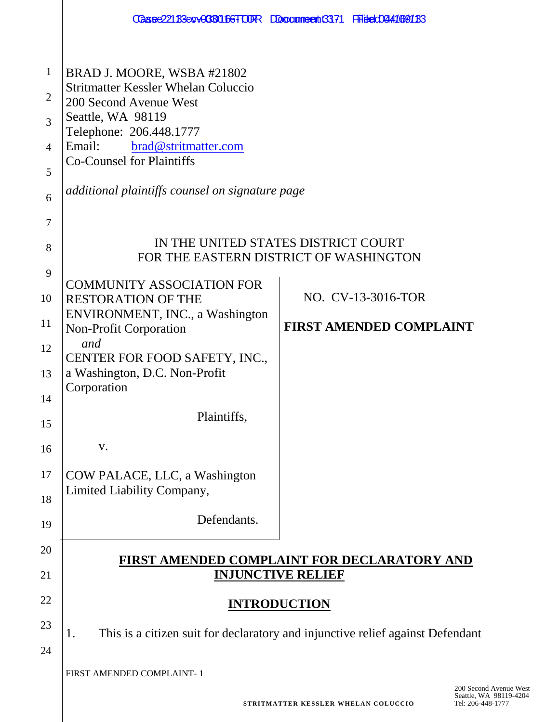|                                                      |                                                                                                                                                                                                                                                                             | CGase221B3cqv0CBC1f6FTODR Doccumeent6371 FFideCO441691B3                       |  |
|------------------------------------------------------|-----------------------------------------------------------------------------------------------------------------------------------------------------------------------------------------------------------------------------------------------------------------------------|--------------------------------------------------------------------------------|--|
| 1<br>$\overline{2}$<br>3<br>$\overline{4}$<br>5<br>6 | BRAD J. MOORE, WSBA #21802<br><b>Stritmatter Kessler Whelan Coluccio</b><br>200 Second Avenue West<br>Seattle, WA 98119<br>Telephone: 206.448.1777<br>Email:<br>brad@stritmatter.com<br><b>Co-Counsel for Plaintiffs</b><br>additional plaintiffs counsel on signature page |                                                                                |  |
| 7<br>8                                               | IN THE UNITED STATES DISTRICT COURT<br>FOR THE EASTERN DISTRICT OF WASHINGTON                                                                                                                                                                                               |                                                                                |  |
| 9<br>10<br>11<br>12                                  | <b>COMMUNITY ASSOCIATION FOR</b><br><b>RESTORATION OF THE</b><br>ENVIRONMENT, INC., a Washington<br><b>Non-Profit Corporation</b><br>and<br>CENTER FOR FOOD SAFETY, INC.,                                                                                                   | NO. CV-13-3016-TOR<br><b>FIRST AMENDED COMPLAINT</b>                           |  |
| 13<br>14<br>15<br>16                                 | a Washington, D.C. Non-Profit<br>Corporation<br>Plaintiffs,<br>V.                                                                                                                                                                                                           |                                                                                |  |
| 17<br>18                                             | COW PALACE, LLC, a Washington<br>Limited Liability Company,<br>Defendants.                                                                                                                                                                                                  |                                                                                |  |
| 19<br>20<br>21                                       |                                                                                                                                                                                                                                                                             | <u>FIRST AMENDED COMPLAINT FOR DECLARATORY AND</u><br><b>INJUNCTIVE RELIEF</b> |  |
| 22                                                   | <b>INTRODUCTION</b>                                                                                                                                                                                                                                                         |                                                                                |  |
| 23<br>24                                             | This is a citizen suit for declaratory and injunctive relief against Defendant<br>1.                                                                                                                                                                                        |                                                                                |  |
|                                                      | FIRST AMENDED COMPLAINT-1                                                                                                                                                                                                                                                   | 200 Secon                                                                      |  |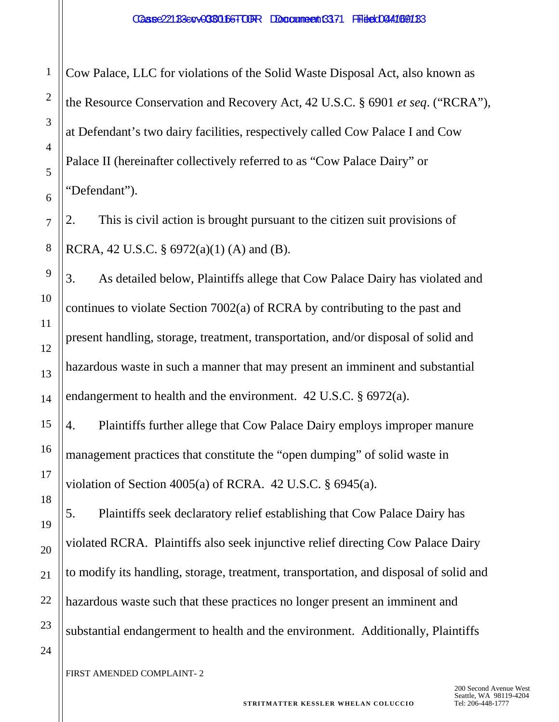Cow Palace, LLC for violations of the Solid Waste Disposal Act, also known as the Resource Conservation and Recovery Act, 42 U.S.C. § 6901 *et seq*. ("RCRA"), at Defendant's two dairy facilities, respectively called Cow Palace I and Cow Palace II (hereinafter collectively referred to as "Cow Palace Dairy" or "Defendant").

2. This is civil action is brought pursuant to the citizen suit provisions of RCRA, 42 U.S.C. §  $6972(a)(1)$  (A) and (B).

3. As detailed below, Plaintiffs allege that Cow Palace Dairy has violated and continues to violate Section 7002(a) of RCRA by contributing to the past and present handling, storage, treatment, transportation, and/or disposal of solid and hazardous waste in such a manner that may present an imminent and substantial endangerment to health and the environment. 42 U.S.C. § 6972(a).

4. Plaintiffs further allege that Cow Palace Dairy employs improper manure management practices that constitute the "open dumping" of solid waste in violation of Section  $4005(a)$  of RCRA.  $42$  U.S.C.  $\S$  6945 $(a)$ .

5. Plaintiffs seek declaratory relief establishing that Cow Palace Dairy has violated RCRA. Plaintiffs also seek injunctive relief directing Cow Palace Dairy to modify its handling, storage, treatment, transportation, and disposal of solid and hazardous waste such that these practices no longer present an imminent and substantial endangerment to health and the environment. Additionally, Plaintiffs

FIRST AMENDED COMPLAINT- 2

1

2

3

4

5

6

7

8

9

10

11

12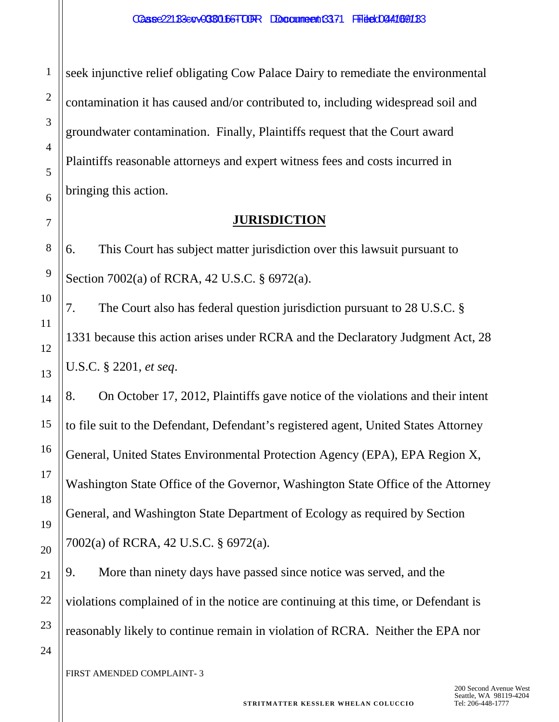seek injunctive relief obligating Cow Palace Dairy to remediate the environmental contamination it has caused and/or contributed to, including widespread soil and groundwater contamination. Finally, Plaintiffs request that the Court award Plaintiffs reasonable attorneys and expert witness fees and costs incurred in bringing this action.

## **JURISDICTION**

6. This Court has subject matter jurisdiction over this lawsuit pursuant to Section 7002(a) of RCRA, 42 U.S.C. § 6972(a).

7. The Court also has federal question jurisdiction pursuant to 28 U.S.C. § 1331 because this action arises under RCRA and the Declaratory Judgment Act, 28 U.S.C. § 2201, *et seq*.

8. On October 17, 2012, Plaintiffs gave notice of the violations and their intent to file suit to the Defendant, Defendant's registered agent, United States Attorney General, United States Environmental Protection Agency (EPA), EPA Region X, Washington State Office of the Governor, Washington State Office of the Attorney General, and Washington State Department of Ecology as required by Section 7002(a) of RCRA, 42 U.S.C. § 6972(a).

9. More than ninety days have passed since notice was served, and the violations complained of in the notice are continuing at this time, or Defendant is reasonably likely to continue remain in violation of RCRA. Neither the EPA nor

FIRST AMENDED COMPLAINT- 3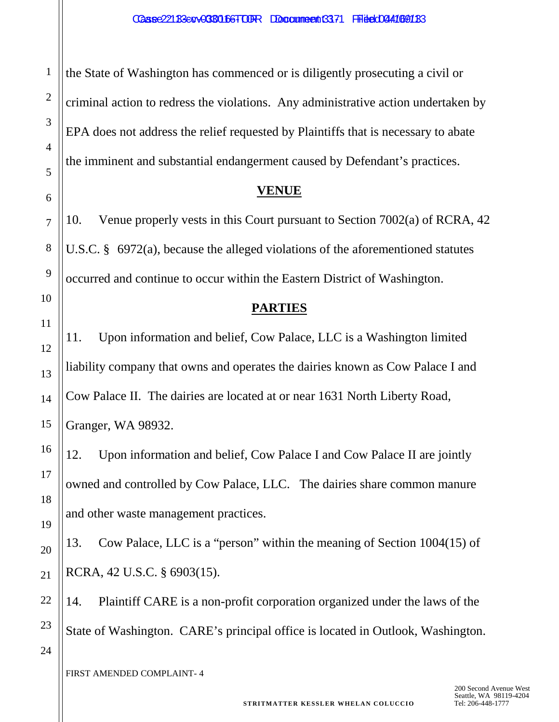the State of Washington has commenced or is diligently prosecuting a civil or criminal action to redress the violations. Any administrative action undertaken by EPA does not address the relief requested by Plaintiffs that is necessary to abate the imminent and substantial endangerment caused by Defendant's practices.

**VENUE**

10. Venue properly vests in this Court pursuant to Section 7002(a) of RCRA, 42 U.S.C. § 6972(a), because the alleged violations of the aforementioned statutes occurred and continue to occur within the Eastern District of Washington.

## **PARTIES**

11. Upon information and belief, Cow Palace, LLC is a Washington limited liability company that owns and operates the dairies known as Cow Palace I and Cow Palace II. The dairies are located at or near 1631 North Liberty Road, Granger, WA 98932.

12. Upon information and belief, Cow Palace I and Cow Palace II are jointly owned and controlled by Cow Palace, LLC. The dairies share common manure and other waste management practices.

13. Cow Palace, LLC is a "person" within the meaning of Section 1004(15) of RCRA, 42 U.S.C. § 6903(15).

14. Plaintiff CARE is a non-profit corporation organized under the laws of the State of Washington. CARE's principal office is located in Outlook, Washington.

FIRST AMENDED COMPLAINT- 4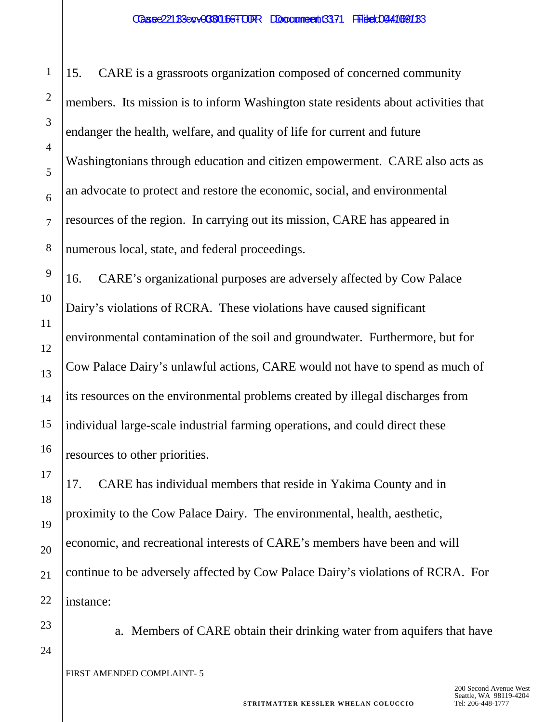15. CARE is a grassroots organization composed of concerned community members. Its mission is to inform Washington state residents about activities that endanger the health, welfare, and quality of life for current and future Washingtonians through education and citizen empowerment. CARE also acts as an advocate to protect and restore the economic, social, and environmental resources of the region. In carrying out its mission, CARE has appeared in numerous local, state, and federal proceedings.

16. CARE's organizational purposes are adversely affected by Cow Palace Dairy's violations of RCRA. These violations have caused significant environmental contamination of the soil and groundwater. Furthermore, but for Cow Palace Dairy's unlawful actions, CARE would not have to spend as much of its resources on the environmental problems created by illegal discharges from individual large-scale industrial farming operations, and could direct these resources to other priorities.

17. CARE has individual members that reside in Yakima County and in proximity to the Cow Palace Dairy. The environmental, health, aesthetic, economic, and recreational interests of CARE's members have been and will continue to be adversely affected by Cow Palace Dairy's violations of RCRA. For instance:

a. Members of CARE obtain their drinking water from aquifers that have

1

2

3

4

5

6

7

8

9

10

11

12

13

14

15

16

17

18

19

20

21

22

23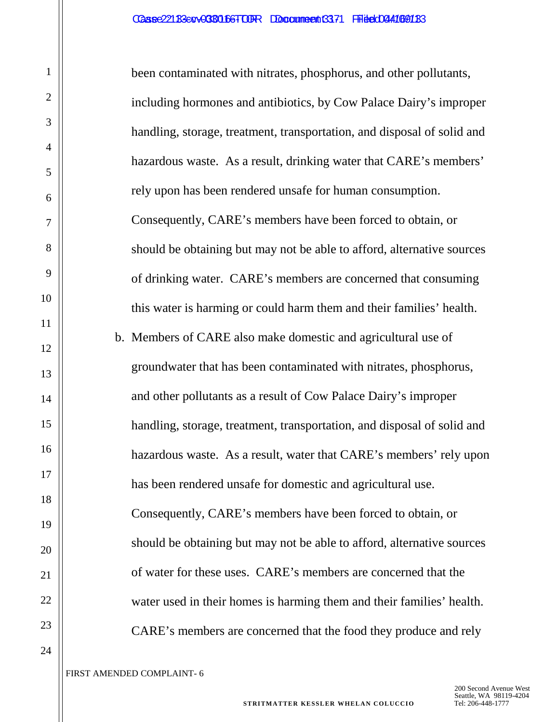been contaminated with nitrates, phosphorus, and other pollutants, including hormones and antibiotics, by Cow Palace Dairy's improper handling, storage, treatment, transportation, and disposal of solid and hazardous waste. As a result, drinking water that CARE's members' rely upon has been rendered unsafe for human consumption. Consequently, CARE's members have been forced to obtain, or should be obtaining but may not be able to afford, alternative sources of drinking water. CARE's members are concerned that consuming this water is harming or could harm them and their families' health. b. Members of CARE also make domestic and agricultural use of groundwater that has been contaminated with nitrates, phosphorus, and other pollutants as a result of Cow Palace Dairy's improper handling, storage, treatment, transportation, and disposal of solid and hazardous waste. As a result, water that CARE's members' rely upon has been rendered unsafe for domestic and agricultural use. Consequently, CARE's members have been forced to obtain, or should be obtaining but may not be able to afford, alternative sources of water for these uses. CARE's members are concerned that the water used in their homes is harming them and their families' health. CARE's members are concerned that the food they produce and rely

1

2

3

4

5

6

7

8

9

10

11

12

13

14

15

16

17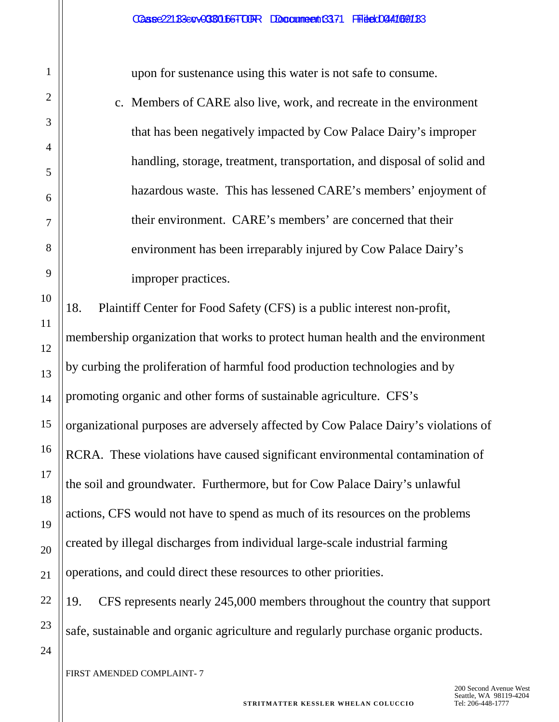upon for sustenance using this water is not safe to consume.

c. Members of CARE also live, work, and recreate in the environment that has been negatively impacted by Cow Palace Dairy's improper handling, storage, treatment, transportation, and disposal of solid and hazardous waste. This has lessened CARE's members' enjoyment of their environment. CARE's members' are concerned that their environment has been irreparably injured by Cow Palace Dairy's improper practices.

18. Plaintiff Center for Food Safety (CFS) is a public interest non-profit, membership organization that works to protect human health and the environment by curbing the proliferation of harmful food production technologies and by promoting organic and other forms of sustainable agriculture. CFS's organizational purposes are adversely affected by Cow Palace Dairy's violations of RCRA. These violations have caused significant environmental contamination of the soil and groundwater. Furthermore, but for Cow Palace Dairy's unlawful actions, CFS would not have to spend as much of its resources on the problems created by illegal discharges from individual large-scale industrial farming operations, and could direct these resources to other priorities.

19. CFS represents nearly 245,000 members throughout the country that support safe, sustainable and organic agriculture and regularly purchase organic products.

FIRST AMENDED COMPLAINT- 7

1

2

3

4

5

6

7

8

9

10

11

12

13

14

15

16

17

18

19

20

21

22

23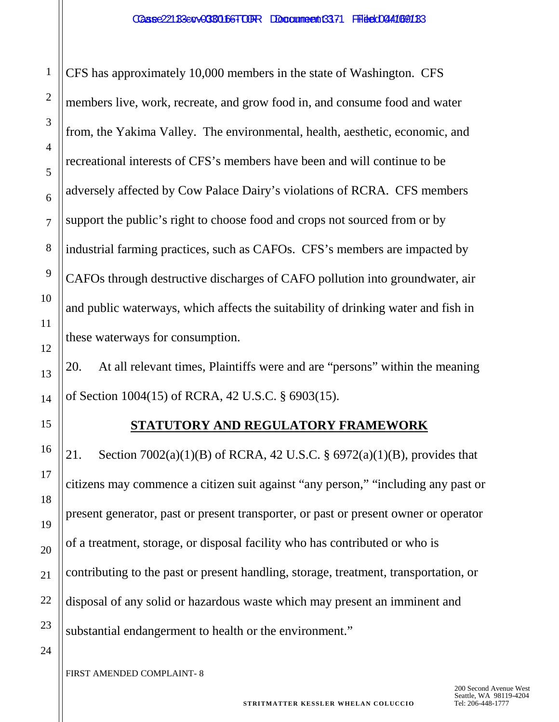CFS has approximately 10,000 members in the state of Washington. CFS members live, work, recreate, and grow food in, and consume food and water from, the Yakima Valley. The environmental, health, aesthetic, economic, and recreational interests of CFS's members have been and will continue to be adversely affected by Cow Palace Dairy's violations of RCRA. CFS members support the public's right to choose food and crops not sourced from or by industrial farming practices, such as CAFOs. CFS's members are impacted by CAFOs through destructive discharges of CAFO pollution into groundwater, air and public waterways, which affects the suitability of drinking water and fish in these waterways for consumption.

20. At all relevant times, Plaintiffs were and are "persons" within the meaning of Section 1004(15) of RCRA, 42 U.S.C. § 6903(15).

1

2

3

4

5

6

7

8

9

10

11

12

13

14

15

16

17

18

19

20

21

22

23

# **STATUTORY AND REGULATORY FRAMEWORK**

21. Section 7002(a)(1)(B) of RCRA, 42 U.S.C. § 6972(a)(1)(B), provides that citizens may commence a citizen suit against "any person," "including any past or present generator, past or present transporter, or past or present owner or operator of a treatment, storage, or disposal facility who has contributed or who is contributing to the past or present handling, storage, treatment, transportation, or disposal of any solid or hazardous waste which may present an imminent and substantial endangerment to health or the environment."

24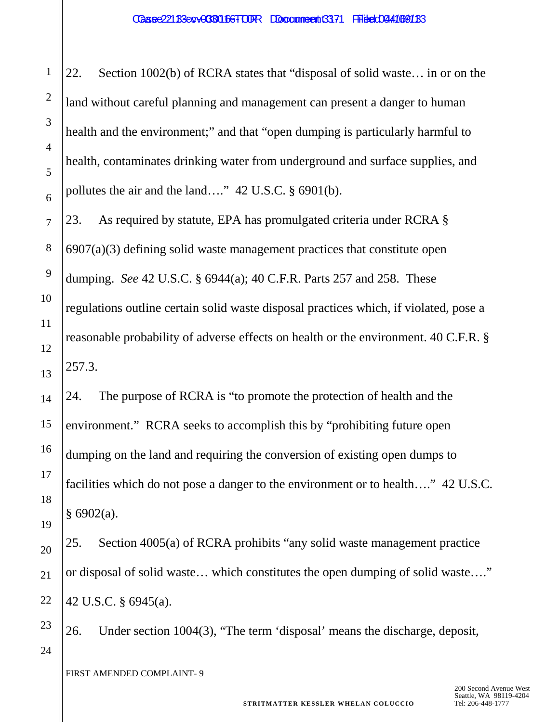22. Section 1002(b) of RCRA states that "disposal of solid waste… in or on the land without careful planning and management can present a danger to human health and the environment;" and that "open dumping is particularly harmful to health, contaminates drinking water from underground and surface supplies, and pollutes the air and the land…." 42 U.S.C. § 6901(b).

23. As required by statute, EPA has promulgated criteria under RCRA §  $6907(a)(3)$  defining solid waste management practices that constitute open dumping. *See* 42 U.S.C. § 6944(a); 40 C.F.R. Parts 257 and 258. These regulations outline certain solid waste disposal practices which, if violated, pose a reasonable probability of adverse effects on health or the environment. 40 C.F.R. § 257.3.

24. The purpose of RCRA is "to promote the protection of health and the environment." RCRA seeks to accomplish this by "prohibiting future open dumping on the land and requiring the conversion of existing open dumps to facilities which do not pose a danger to the environment or to health…." 42 U.S.C.  $§ 6902(a).$ 

25. Section 4005(a) of RCRA prohibits "any solid waste management practice or disposal of solid waste… which constitutes the open dumping of solid waste…." 42 U.S.C. § 6945(a).

26. Under section 1004(3), "The term 'disposal' means the discharge, deposit,

FIRST AMENDED COMPLAINT- 9

1

2

3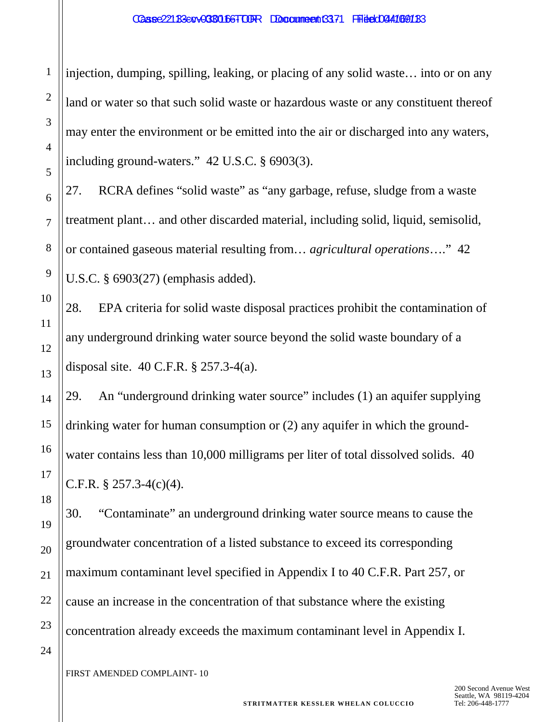injection, dumping, spilling, leaking, or placing of any solid waste… into or on any land or water so that such solid waste or hazardous waste or any constituent thereof may enter the environment or be emitted into the air or discharged into any waters, including ground-waters." 42 U.S.C. § 6903(3).

27. RCRA defines "solid waste" as "any garbage, refuse, sludge from a waste treatment plant… and other discarded material, including solid, liquid, semisolid, or contained gaseous material resulting from… *agricultural operations*…." 42 U.S.C. § 6903(27) (emphasis added).

28. EPA criteria for solid waste disposal practices prohibit the contamination of any underground drinking water source beyond the solid waste boundary of a disposal site. 40 C.F.R. § 257.3-4(a).

29. An "underground drinking water source" includes (1) an aquifer supplying drinking water for human consumption or (2) any aquifer in which the groundwater contains less than 10,000 milligrams per liter of total dissolved solids. 40 C.F.R. § 257.3-4(c)(4).

30. "Contaminate" an underground drinking water source means to cause the groundwater concentration of a listed substance to exceed its corresponding maximum contaminant level specified in Appendix I to 40 C.F.R. Part 257, or cause an increase in the concentration of that substance where the existing concentration already exceeds the maximum contaminant level in Appendix I.

FIRST AMENDED COMPLAINT- 10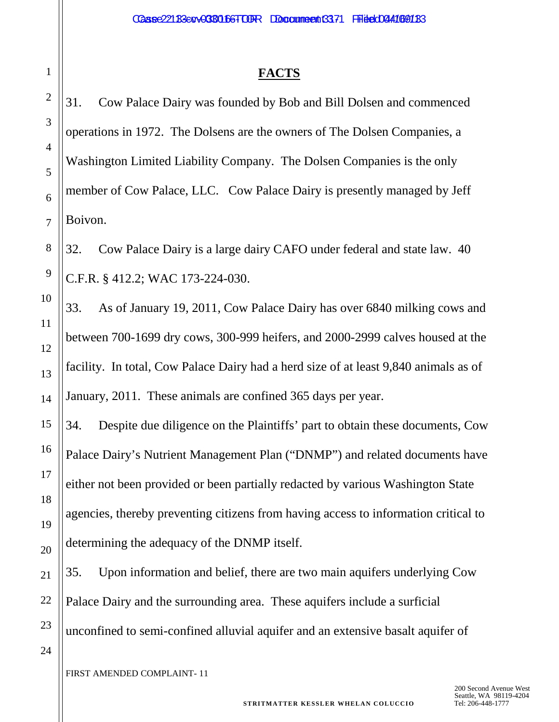#### **FACTS**

31. Cow Palace Dairy was founded by Bob and Bill Dolsen and commenced operations in 1972. The Dolsens are the owners of The Dolsen Companies, a Washington Limited Liability Company. The Dolsen Companies is the only member of Cow Palace, LLC. Cow Palace Dairy is presently managed by Jeff Boivon.

32. Cow Palace Dairy is a large dairy CAFO under federal and state law. 40 C.F.R. § 412.2; WAC 173-224-030.

33. As of January 19, 2011, Cow Palace Dairy has over 6840 milking cows and between 700-1699 dry cows, 300-999 heifers, and 2000-2999 calves housed at the facility. In total, Cow Palace Dairy had a herd size of at least 9,840 animals as of January, 2011. These animals are confined 365 days per year.

34. Despite due diligence on the Plaintiffs' part to obtain these documents, Cow Palace Dairy's Nutrient Management Plan ("DNMP") and related documents have either not been provided or been partially redacted by various Washington State agencies, thereby preventing citizens from having access to information critical to determining the adequacy of the DNMP itself.

35. Upon information and belief, there are two main aquifers underlying Cow Palace Dairy and the surrounding area. These aquifers include a surficial unconfined to semi-confined alluvial aquifer and an extensive basalt aquifer of

FIRST AMENDED COMPLAINT- 11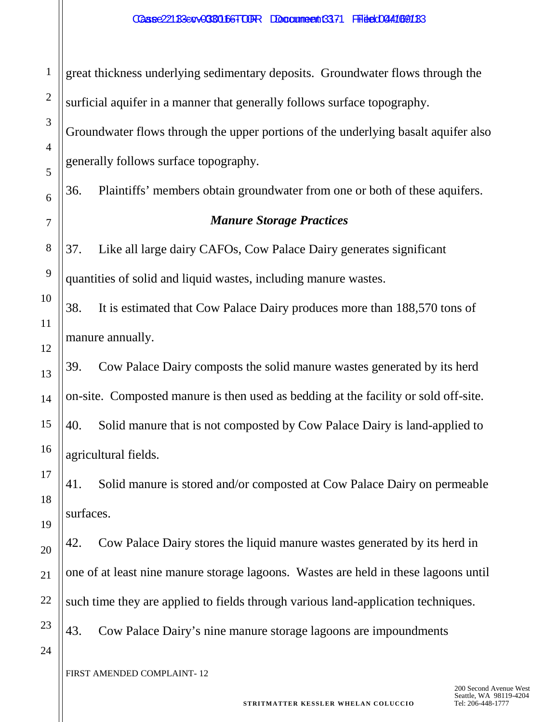1 2 3 4 5 6 7 8 9 10 11 12 13 14 15 16 17 18 19 20 21 22 23 24 great thickness underlying sedimentary deposits. Groundwater flows through the surficial aquifer in a manner that generally follows surface topography. Groundwater flows through the upper portions of the underlying basalt aquifer also generally follows surface topography. 36. Plaintiffs' members obtain groundwater from one or both of these aquifers. *Manure Storage Practices* 37. Like all large dairy CAFOs, Cow Palace Dairy generates significant quantities of solid and liquid wastes, including manure wastes. 38. It is estimated that Cow Palace Dairy produces more than 188,570 tons of manure annually. 39. Cow Palace Dairy composts the solid manure wastes generated by its herd on-site. Composted manure is then used as bedding at the facility or sold off-site. 40. Solid manure that is not composted by Cow Palace Dairy is land-applied to agricultural fields. 41. Solid manure is stored and/or composted at Cow Palace Dairy on permeable surfaces. 42. Cow Palace Dairy stores the liquid manure wastes generated by its herd in one of at least nine manure storage lagoons. Wastes are held in these lagoons until such time they are applied to fields through various land-application techniques. 43. Cow Palace Dairy's nine manure storage lagoons are impoundments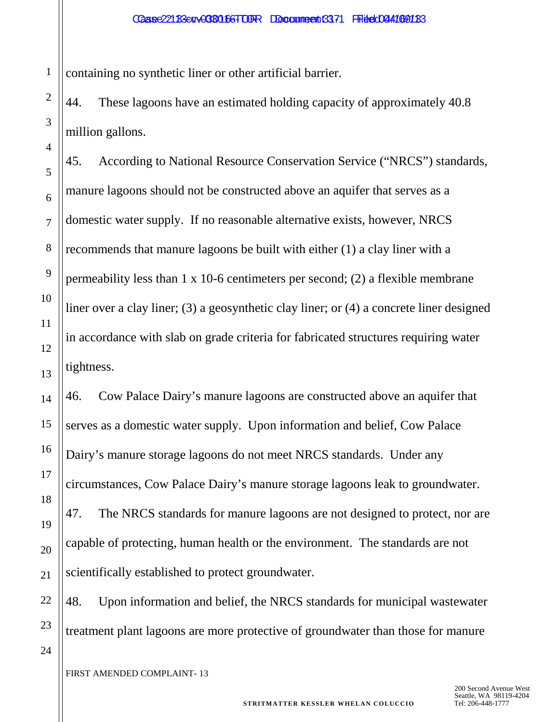1 containing no synthetic liner or other artificial barrier.

2

3

4

5

6

7

8

9

10

11

12

13

14

15

16

17

18

19

20

21

22

23

24

44. These lagoons have an estimated holding capacity of approximately 40.8 million gallons.

45. According to National Resource Conservation Service ("NRCS") standards, manure lagoons should not be constructed above an aquifer that serves as a domestic water supply. If no reasonable alternative exists, however, NRCS recommends that manure lagoons be built with either (1) a clay liner with a permeability less than 1 x 10-6 centimeters per second; (2) a flexible membrane liner over a clay liner; (3) a geosynthetic clay liner; or (4) a concrete liner designed in accordance with slab on grade criteria for fabricated structures requiring water tightness.

46. Cow Palace Dairy's manure lagoons are constructed above an aquifer that serves as a domestic water supply. Upon information and belief, Cow Palace Dairy's manure storage lagoons do not meet NRCS standards. Under any circumstances, Cow Palace Dairy's manure storage lagoons leak to groundwater. 47. The NRCS standards for manure lagoons are not designed to protect, nor are capable of protecting, human health or the environment. The standards are not scientifically established to protect groundwater.

48. Upon information and belief, the NRCS standards for municipal wastewater treatment plant lagoons are more protective of groundwater than those for manure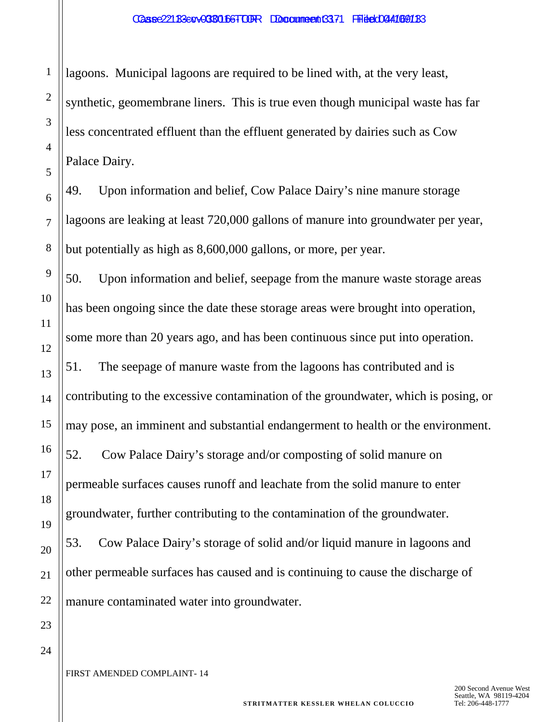lagoons. Municipal lagoons are required to be lined with, at the very least, synthetic, geomembrane liners. This is true even though municipal waste has far less concentrated effluent than the effluent generated by dairies such as Cow Palace Dairy.

49. Upon information and belief, Cow Palace Dairy's nine manure storage lagoons are leaking at least 720,000 gallons of manure into groundwater per year, but potentially as high as 8,600,000 gallons, or more, per year.

50. Upon information and belief, seepage from the manure waste storage areas has been ongoing since the date these storage areas were brought into operation, some more than 20 years ago, and has been continuous since put into operation.

51. The seepage of manure waste from the lagoons has contributed and is contributing to the excessive contamination of the groundwater, which is posing, or may pose, an imminent and substantial endangerment to health or the environment.

52. Cow Palace Dairy's storage and/or composting of solid manure on permeable surfaces causes runoff and leachate from the solid manure to enter groundwater, further contributing to the contamination of the groundwater.

53. Cow Palace Dairy's storage of solid and/or liquid manure in lagoons and other permeable surfaces has caused and is continuing to cause the discharge of manure contaminated water into groundwater.

24

1

2

3

4

5

6

7

8

9

10

11

12

13

14

15

16

17

18

19

20

21

22

23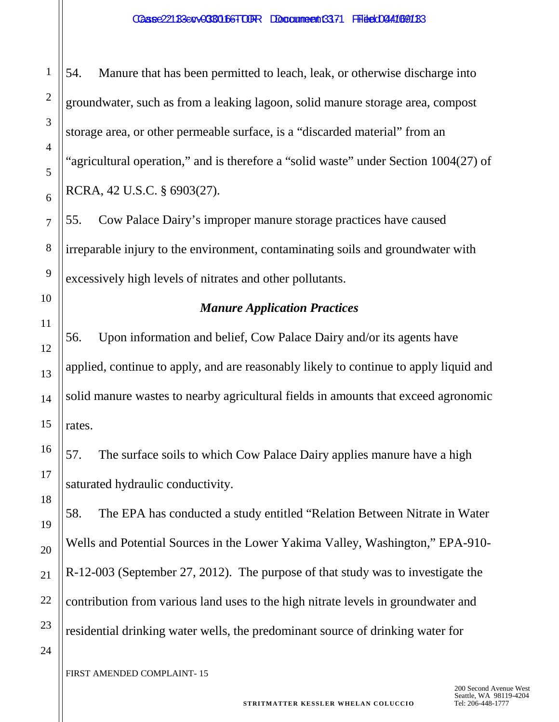1

54. Manure that has been permitted to leach, leak, or otherwise discharge into groundwater, such as from a leaking lagoon, solid manure storage area, compost storage area, or other permeable surface, is a "discarded material" from an "agricultural operation," and is therefore a "solid waste" under Section 1004(27) of RCRA, 42 U.S.C. § 6903(27).

55. Cow Palace Dairy's improper manure storage practices have caused irreparable injury to the environment, contaminating soils and groundwater with excessively high levels of nitrates and other pollutants.

## *Manure Application Practices*

56. Upon information and belief, Cow Palace Dairy and/or its agents have applied, continue to apply, and are reasonably likely to continue to apply liquid and solid manure wastes to nearby agricultural fields in amounts that exceed agronomic rates.

57. The surface soils to which Cow Palace Dairy applies manure have a high saturated hydraulic conductivity.

58. The EPA has conducted a study entitled "Relation Between Nitrate in Water Wells and Potential Sources in the Lower Yakima Valley, Washington," EPA-910- R-12-003 (September 27, 2012). The purpose of that study was to investigate the contribution from various land uses to the high nitrate levels in groundwater and residential drinking water wells, the predominant source of drinking water for

24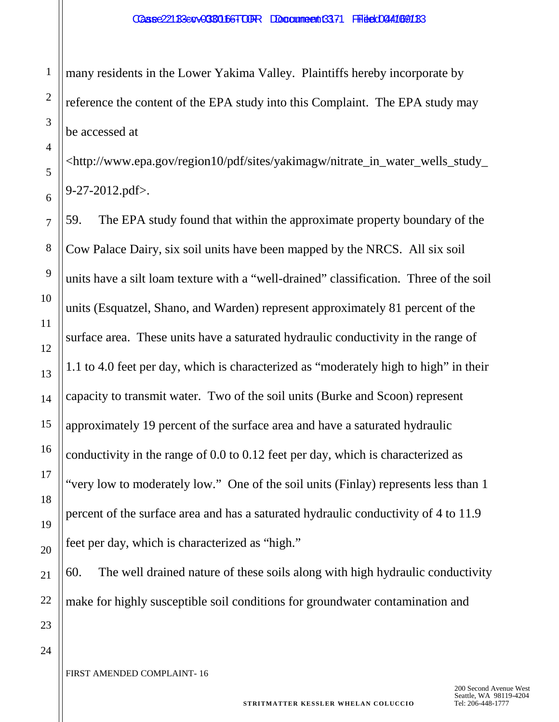many residents in the Lower Yakima Valley. Plaintiffs hereby incorporate by reference the content of the EPA study into this Complaint. The EPA study may be accessed at

<http://www.epa.gov/region10/pdf/sites/yakimagw/nitrate\_in\_water\_wells\_study\_ 9-27-2012.pdf>.

59. The EPA study found that within the approximate property boundary of the Cow Palace Dairy, six soil units have been mapped by the NRCS. All six soil units have a silt loam texture with a "well-drained" classification. Three of the soil units (Esquatzel, Shano, and Warden) represent approximately 81 percent of the surface area. These units have a saturated hydraulic conductivity in the range of 1.1 to 4.0 feet per day, which is characterized as "moderately high to high" in their capacity to transmit water. Two of the soil units (Burke and Scoon) represent approximately 19 percent of the surface area and have a saturated hydraulic conductivity in the range of 0.0 to 0.12 feet per day, which is characterized as "very low to moderately low." One of the soil units (Finlay) represents less than 1 percent of the surface area and has a saturated hydraulic conductivity of 4 to 11.9 feet per day, which is characterized as "high."

60. The well drained nature of these soils along with high hydraulic conductivity make for highly susceptible soil conditions for groundwater contamination and

24

1

2

3

4

5

6

7

8

9

10

11

12

13

14

15

16

17

18

19

20

21

22

23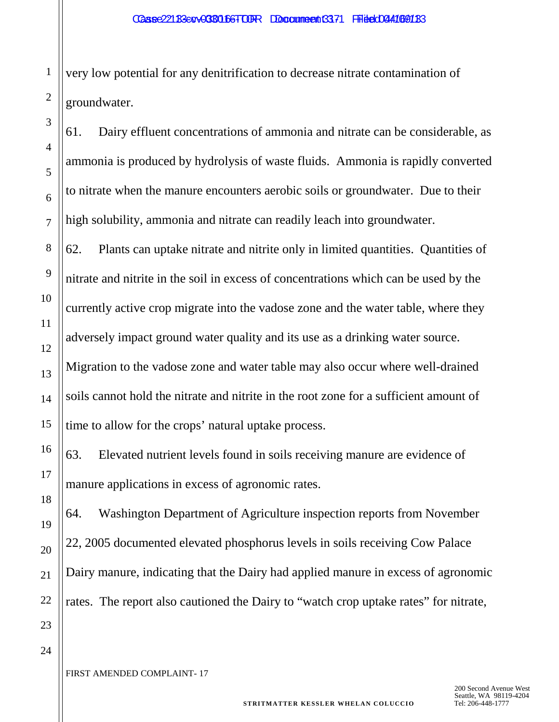very low potential for any denitrification to decrease nitrate contamination of groundwater.

61. Dairy effluent concentrations of ammonia and nitrate can be considerable, as ammonia is produced by hydrolysis of waste fluids. Ammonia is rapidly converted to nitrate when the manure encounters aerobic soils or groundwater. Due to their high solubility, ammonia and nitrate can readily leach into groundwater.

62. Plants can uptake nitrate and nitrite only in limited quantities. Quantities of nitrate and nitrite in the soil in excess of concentrations which can be used by the currently active crop migrate into the vadose zone and the water table, where they adversely impact ground water quality and its use as a drinking water source. Migration to the vadose zone and water table may also occur where well-drained soils cannot hold the nitrate and nitrite in the root zone for a sufficient amount of time to allow for the crops' natural uptake process.

63. Elevated nutrient levels found in soils receiving manure are evidence of manure applications in excess of agronomic rates.

64. Washington Department of Agriculture inspection reports from November 22, 2005 documented elevated phosphorus levels in soils receiving Cow Palace Dairy manure, indicating that the Dairy had applied manure in excess of agronomic rates. The report also cautioned the Dairy to "watch crop uptake rates" for nitrate,

24

1

2

3

4

5

6

7

8

9

10

11

12

13

14

15

16

17

18

19

20

21

22

23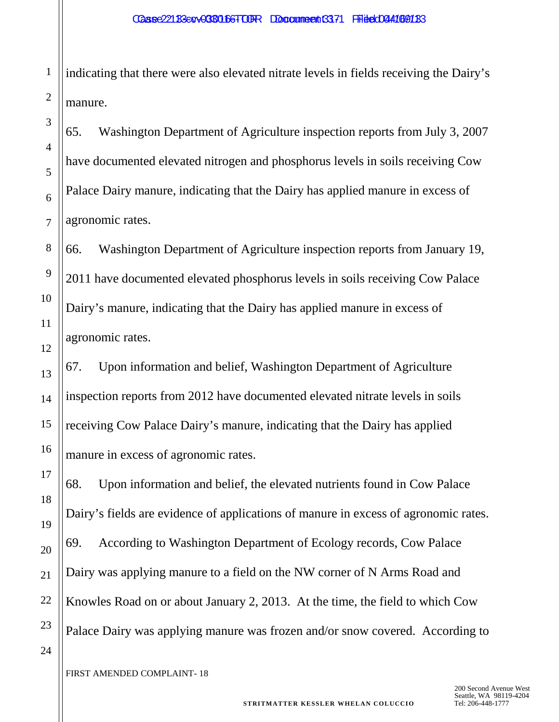indicating that there were also elevated nitrate levels in fields receiving the Dairy's manure.

65. Washington Department of Agriculture inspection reports from July 3, 2007 have documented elevated nitrogen and phosphorus levels in soils receiving Cow Palace Dairy manure, indicating that the Dairy has applied manure in excess of agronomic rates.

66. Washington Department of Agriculture inspection reports from January 19, 2011 have documented elevated phosphorus levels in soils receiving Cow Palace Dairy's manure, indicating that the Dairy has applied manure in excess of agronomic rates.

67. Upon information and belief, Washington Department of Agriculture inspection reports from 2012 have documented elevated nitrate levels in soils receiving Cow Palace Dairy's manure, indicating that the Dairy has applied manure in excess of agronomic rates.

68. Upon information and belief, the elevated nutrients found in Cow Palace Dairy's fields are evidence of applications of manure in excess of agronomic rates. 69. According to Washington Department of Ecology records, Cow Palace Dairy was applying manure to a field on the NW corner of N Arms Road and Knowles Road on or about January 2, 2013. At the time, the field to which Cow Palace Dairy was applying manure was frozen and/or snow covered. According to

1

2

3

4

5

6

7

8

9

10

11

12

13

14

15

16

17

18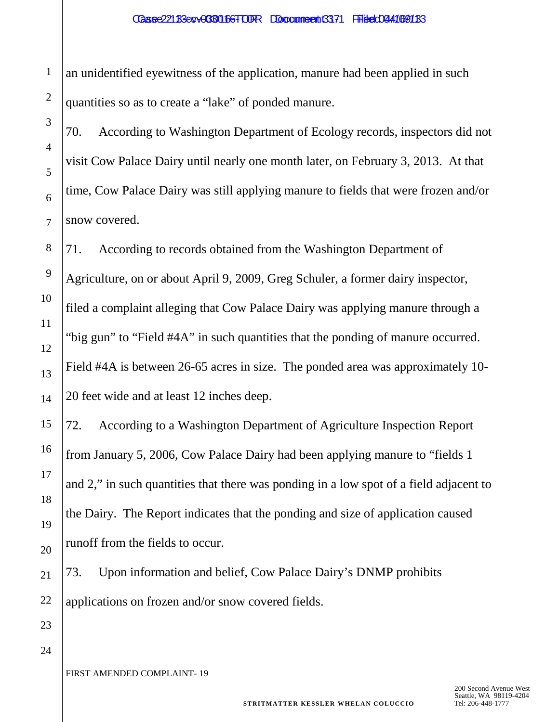an unidentified eyewitness of the application, manure had been applied in such quantities so as to create a "lake" of ponded manure.

70. According to Washington Department of Ecology records, inspectors did not visit Cow Palace Dairy until nearly one month later, on February 3, 2013. At that time, Cow Palace Dairy was still applying manure to fields that were frozen and/or snow covered.

71. According to records obtained from the Washington Department of Agriculture, on or about April 9, 2009, Greg Schuler, a former dairy inspector, filed a complaint alleging that Cow Palace Dairy was applying manure through a "big gun" to "Field #4A" in such quantities that the ponding of manure occurred. Field #4A is between 26-65 acres in size. The ponded area was approximately 10- 20 feet wide and at least 12 inches deep.

72. According to a Washington Department of Agriculture Inspection Report from January 5, 2006, Cow Palace Dairy had been applying manure to "fields 1 and 2," in such quantities that there was ponding in a low spot of a field adjacent to the Dairy. The Report indicates that the ponding and size of application caused runoff from the fields to occur.

73. Upon information and belief, Cow Palace Dairy's DNMP prohibits applications on frozen and/or snow covered fields.

24

1

2

3

4

5

6

7

8

9

10

11

12

13

14

15

16

17

18

19

20

21

22

23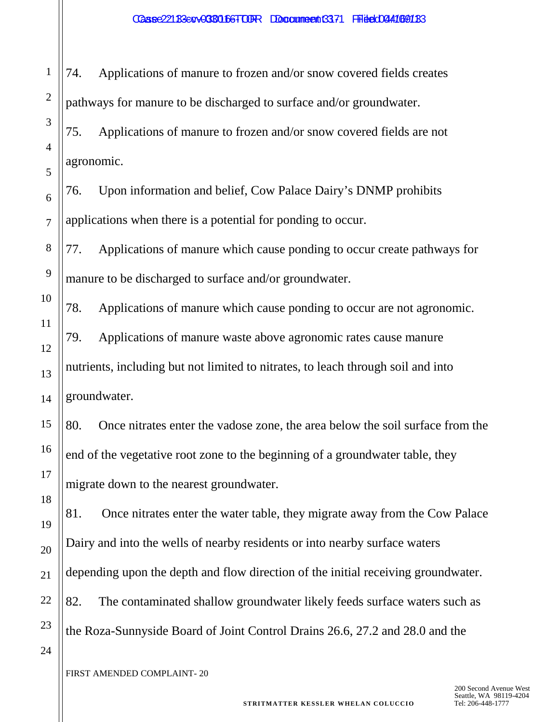74. Applications of manure to frozen and/or snow covered fields creates pathways for manure to be discharged to surface and/or groundwater. 75. Applications of manure to frozen and/or snow covered fields are not

5 6 7 76. Upon information and belief, Cow Palace Dairy's DNMP prohibits applications when there is a potential for ponding to occur.

77. Applications of manure which cause ponding to occur create pathways for manure to be discharged to surface and/or groundwater.

78. Applications of manure which cause ponding to occur are not agronomic. 79. Applications of manure waste above agronomic rates cause manure nutrients, including but not limited to nitrates, to leach through soil and into groundwater.

80. Once nitrates enter the vadose zone, the area below the soil surface from the end of the vegetative root zone to the beginning of a groundwater table, they migrate down to the nearest groundwater.

19 20 22 23 81. Once nitrates enter the water table, they migrate away from the Cow Palace Dairy and into the wells of nearby residents or into nearby surface waters depending upon the depth and flow direction of the initial receiving groundwater. 82. The contaminated shallow groundwater likely feeds surface waters such as the Roza-Sunnyside Board of Joint Control Drains 26.6, 27.2 and 28.0 and the

24

1

2

3

4

agronomic.

8

9

10

11

12

13

14

15

16

17

18

21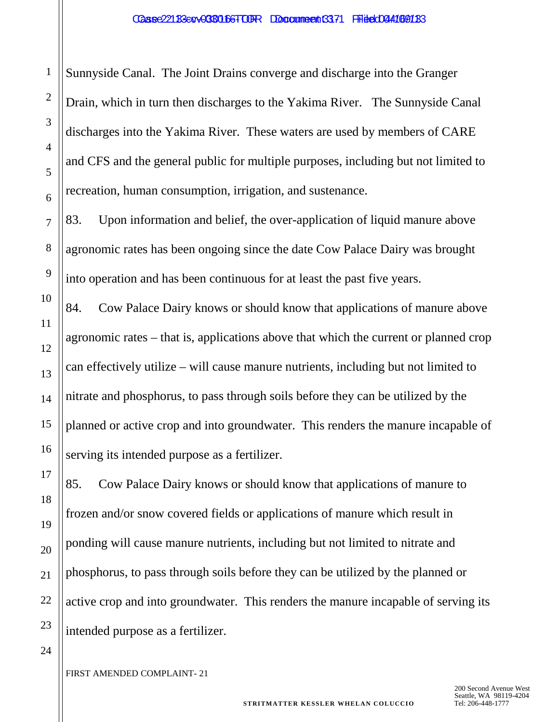Sunnyside Canal. The Joint Drains converge and discharge into the Granger Drain, which in turn then discharges to the Yakima River. The Sunnyside Canal discharges into the Yakima River. These waters are used by members of CARE and CFS and the general public for multiple purposes, including but not limited to recreation, human consumption, irrigation, and sustenance.

83. Upon information and belief, the over-application of liquid manure above agronomic rates has been ongoing since the date Cow Palace Dairy was brought into operation and has been continuous for at least the past five years.

84. Cow Palace Dairy knows or should know that applications of manure above agronomic rates – that is, applications above that which the current or planned crop can effectively utilize – will cause manure nutrients, including but not limited to nitrate and phosphorus, to pass through soils before they can be utilized by the planned or active crop and into groundwater. This renders the manure incapable of serving its intended purpose as a fertilizer.

85. Cow Palace Dairy knows or should know that applications of manure to frozen and/or snow covered fields or applications of manure which result in ponding will cause manure nutrients, including but not limited to nitrate and phosphorus, to pass through soils before they can be utilized by the planned or active crop and into groundwater. This renders the manure incapable of serving its intended purpose as a fertilizer.

FIRST AMENDED COMPLAINT- 21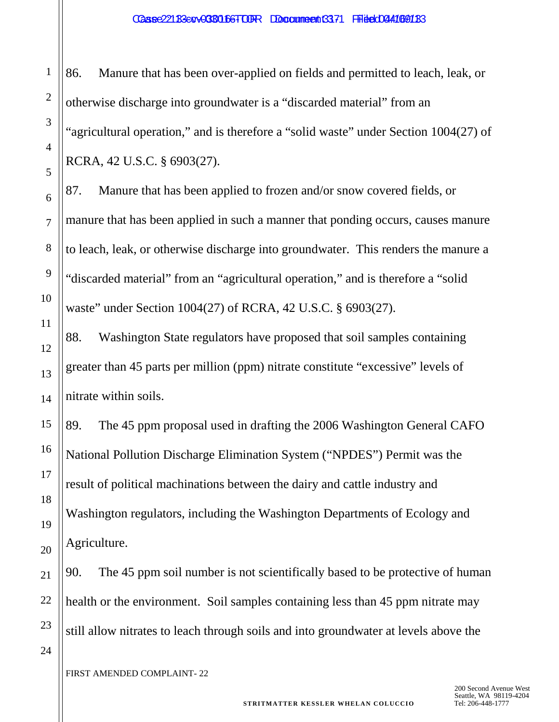#### Caase 221 B3 EQV-0380166-TOUR Document 3371 Filed 044169183

1

86. Manure that has been over-applied on fields and permitted to leach, leak, or otherwise discharge into groundwater is a "discarded material" from an "agricultural operation," and is therefore a "solid waste" under Section 1004(27) of RCRA, 42 U.S.C. § 6903(27).

87. Manure that has been applied to frozen and/or snow covered fields, or manure that has been applied in such a manner that ponding occurs, causes manure to leach, leak, or otherwise discharge into groundwater. This renders the manure a "discarded material" from an "agricultural operation," and is therefore a "solid waste" under Section 1004(27) of RCRA, 42 U.S.C. § 6903(27).

88. Washington State regulators have proposed that soil samples containing greater than 45 parts per million (ppm) nitrate constitute "excessive" levels of nitrate within soils.

89. The 45 ppm proposal used in drafting the 2006 Washington General CAFO National Pollution Discharge Elimination System ("NPDES") Permit was the result of political machinations between the dairy and cattle industry and Washington regulators, including the Washington Departments of Ecology and Agriculture.

90. The 45 ppm soil number is not scientifically based to be protective of human health or the environment. Soil samples containing less than 45 ppm nitrate may still allow nitrates to leach through soils and into groundwater at levels above the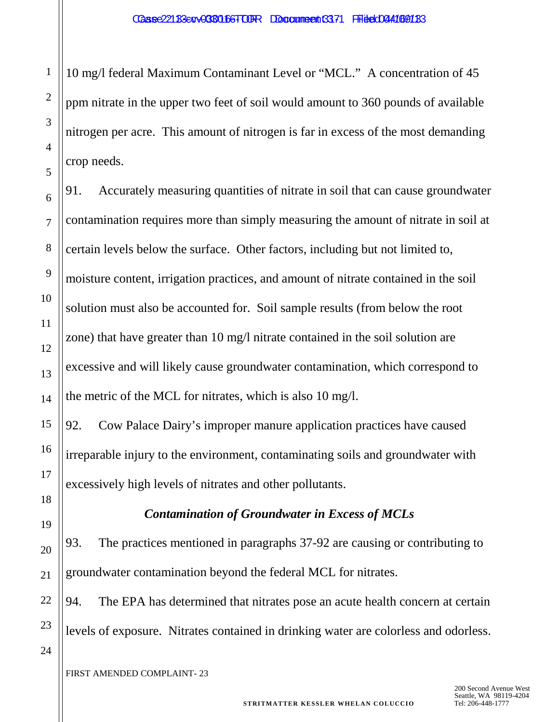10 mg/l federal Maximum Contaminant Level or "MCL." A concentration of 45 ppm nitrate in the upper two feet of soil would amount to 360 pounds of available nitrogen per acre. This amount of nitrogen is far in excess of the most demanding crop needs.

91. Accurately measuring quantities of nitrate in soil that can cause groundwater contamination requires more than simply measuring the amount of nitrate in soil at certain levels below the surface. Other factors, including but not limited to, moisture content, irrigation practices, and amount of nitrate contained in the soil solution must also be accounted for. Soil sample results (from below the root zone) that have greater than 10 mg/l nitrate contained in the soil solution are excessive and will likely cause groundwater contamination, which correspond to the metric of the MCL for nitrates, which is also 10 mg/l.

92. Cow Palace Dairy's improper manure application practices have caused irreparable injury to the environment, contaminating soils and groundwater with excessively high levels of nitrates and other pollutants.

*Contamination of Groundwater in Excess of MCLs*

93. The practices mentioned in paragraphs 37-92 are causing or contributing to groundwater contamination beyond the federal MCL for nitrates.

94. The EPA has determined that nitrates pose an acute health concern at certain levels of exposure. Nitrates contained in drinking water are colorless and odorless.

24

1

2

3

4

5

6

7

8

9

10

11

12

13

14

15

16

17

18

19

20

21

22

23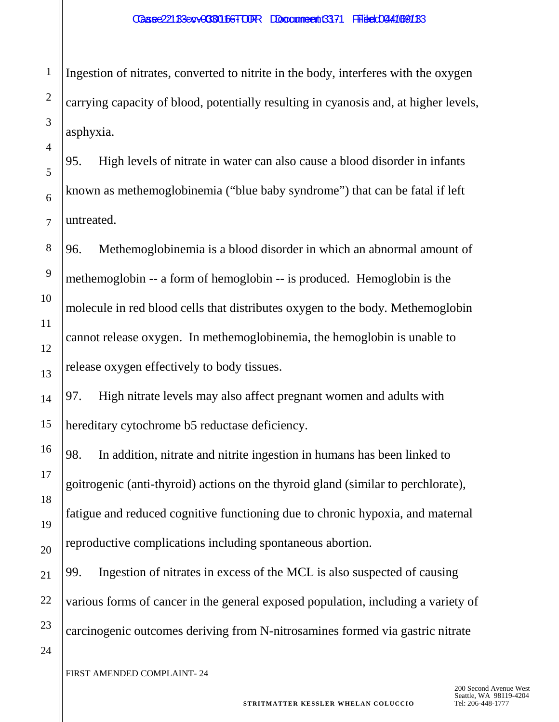Ingestion of nitrates, converted to nitrite in the body, interferes with the oxygen carrying capacity of blood, potentially resulting in cyanosis and, at higher levels, asphyxia.

95. High levels of nitrate in water can also cause a blood disorder in infants known as methemoglobinemia ("blue baby syndrome") that can be fatal if left untreated.

96. Methemoglobinemia is a blood disorder in which an abnormal amount of methemoglobin -- a form of hemoglobin -- is produced. Hemoglobin is the molecule in red blood cells that distributes oxygen to the body. Methemoglobin cannot release oxygen. In methemoglobinemia, the hemoglobin is unable to release oxygen effectively to body tissues.

97. High nitrate levels may also affect pregnant women and adults with hereditary cytochrome b5 reductase deficiency.

98. In addition, nitrate and nitrite ingestion in humans has been linked to goitrogenic (anti-thyroid) actions on the thyroid gland (similar to perchlorate), fatigue and reduced cognitive functioning due to chronic hypoxia, and maternal reproductive complications including spontaneous abortion.

99. Ingestion of nitrates in excess of the MCL is also suspected of causing various forms of cancer in the general exposed population, including a variety of carcinogenic outcomes deriving from N-nitrosamines formed via gastric nitrate

24

1

2

3

4

5

6

7

8

9

10

11

12

13

14

15

16

17

18

19

20

21

22

23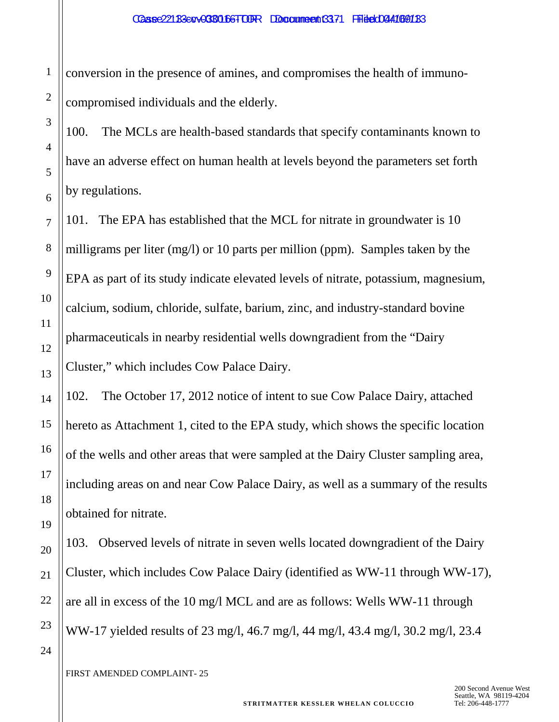conversion in the presence of amines, and compromises the health of immunocompromised individuals and the elderly.

100. The MCLs are health-based standards that specify contaminants known to have an adverse effect on human health at levels beyond the parameters set forth by regulations.

101. The EPA has established that the MCL for nitrate in groundwater is 10 milligrams per liter (mg/l) or 10 parts per million (ppm). Samples taken by the EPA as part of its study indicate elevated levels of nitrate, potassium, magnesium, calcium, sodium, chloride, sulfate, barium, zinc, and industry-standard bovine pharmaceuticals in nearby residential wells downgradient from the "Dairy Cluster," which includes Cow Palace Dairy.

102. The October 17, 2012 notice of intent to sue Cow Palace Dairy, attached hereto as Attachment 1, cited to the EPA study, which shows the specific location of the wells and other areas that were sampled at the Dairy Cluster sampling area, including areas on and near Cow Palace Dairy, as well as a summary of the results obtained for nitrate.

103. Observed levels of nitrate in seven wells located downgradient of the Dairy Cluster, which includes Cow Palace Dairy (identified as WW-11 through WW-17), are all in excess of the 10 mg/l MCL and are as follows: Wells WW-11 through WW-17 yielded results of 23 mg/l, 46.7 mg/l, 44 mg/l, 43.4 mg/l, 30.2 mg/l, 23.4

FIRST AMENDED COMPLAINT- 25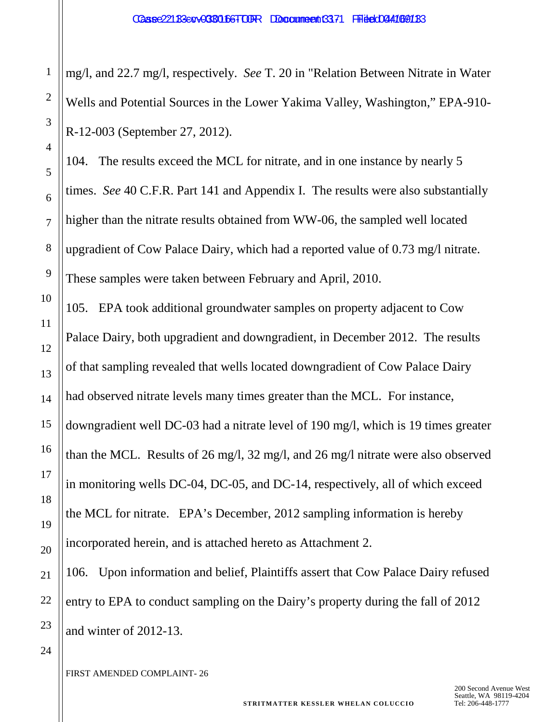mg/l, and 22.7 mg/l, respectively. *See* T. 20 in "Relation Between Nitrate in Water Wells and Potential Sources in the Lower Yakima Valley, Washington," EPA-910- R-12-003 (September 27, 2012).

104. The results exceed the MCL for nitrate, and in one instance by nearly 5 times. *See* 40 C.F.R. Part 141 and Appendix I. The results were also substantially higher than the nitrate results obtained from WW-06, the sampled well located upgradient of Cow Palace Dairy, which had a reported value of 0.73 mg/l nitrate. These samples were taken between February and April, 2010.

105. EPA took additional groundwater samples on property adjacent to Cow Palace Dairy, both upgradient and downgradient, in December 2012. The results of that sampling revealed that wells located downgradient of Cow Palace Dairy had observed nitrate levels many times greater than the MCL. For instance, downgradient well DC-03 had a nitrate level of 190 mg/l, which is 19 times greater than the MCL. Results of 26 mg/l, 32 mg/l, and 26 mg/l nitrate were also observed in monitoring wells DC-04, DC-05, and DC-14, respectively, all of which exceed the MCL for nitrate. EPA's December, 2012 sampling information is hereby incorporated herein, and is attached hereto as Attachment 2.

106. Upon information and belief, Plaintiffs assert that Cow Palace Dairy refused entry to EPA to conduct sampling on the Dairy's property during the fall of 2012 and winter of 2012-13.

1

2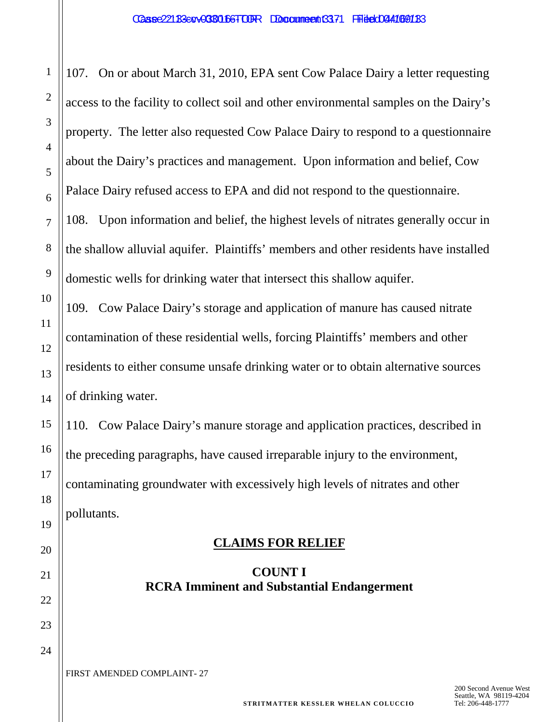107. On or about March 31, 2010, EPA sent Cow Palace Dairy a letter requesting access to the facility to collect soil and other environmental samples on the Dairy's property. The letter also requested Cow Palace Dairy to respond to a questionnaire about the Dairy's practices and management. Upon information and belief, Cow Palace Dairy refused access to EPA and did not respond to the questionnaire.

108. Upon information and belief, the highest levels of nitrates generally occur in the shallow alluvial aquifer. Plaintiffs' members and other residents have installed domestic wells for drinking water that intersect this shallow aquifer.

109. Cow Palace Dairy's storage and application of manure has caused nitrate contamination of these residential wells, forcing Plaintiffs' members and other residents to either consume unsafe drinking water or to obtain alternative sources of drinking water.

110. Cow Palace Dairy's manure storage and application practices, described in the preceding paragraphs, have caused irreparable injury to the environment, contaminating groundwater with excessively high levels of nitrates and other pollutants.

#### **CLAIMS FOR RELIEF**

# **COUNT I RCRA Imminent and Substantial Endangerment**

FIRST AMENDED COMPLAINT- 27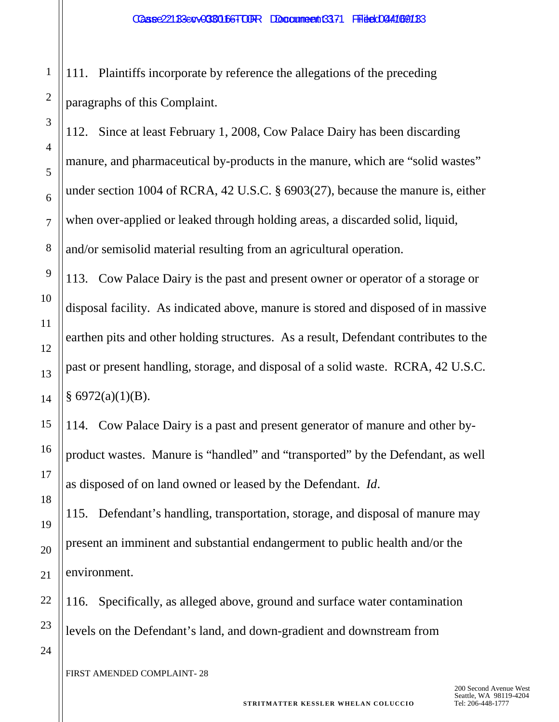111. Plaintiffs incorporate by reference the allegations of the preceding paragraphs of this Complaint.

112. Since at least February 1, 2008, Cow Palace Dairy has been discarding manure, and pharmaceutical by-products in the manure, which are "solid wastes" under section 1004 of RCRA, 42 U.S.C. § 6903(27), because the manure is, either when over-applied or leaked through holding areas, a discarded solid, liquid, and/or semisolid material resulting from an agricultural operation.

113. Cow Palace Dairy is the past and present owner or operator of a storage or disposal facility. As indicated above, manure is stored and disposed of in massive earthen pits and other holding structures. As a result, Defendant contributes to the past or present handling, storage, and disposal of a solid waste. RCRA, 42 U.S.C.  $§ 6972(a)(1)(B).$ 

114. Cow Palace Dairy is a past and present generator of manure and other byproduct wastes. Manure is "handled" and "transported" by the Defendant, as well as disposed of on land owned or leased by the Defendant. *Id*.

115. Defendant's handling, transportation, storage, and disposal of manure may present an imminent and substantial endangerment to public health and/or the environment.

116. Specifically, as alleged above, ground and surface water contamination levels on the Defendant's land, and down-gradient and downstream from

FIRST AMENDED COMPLAINT- 28

1

2

3

4

5

6

7

8

9

10

11

12

13

14

15

16

17

18

19

20

21

22

23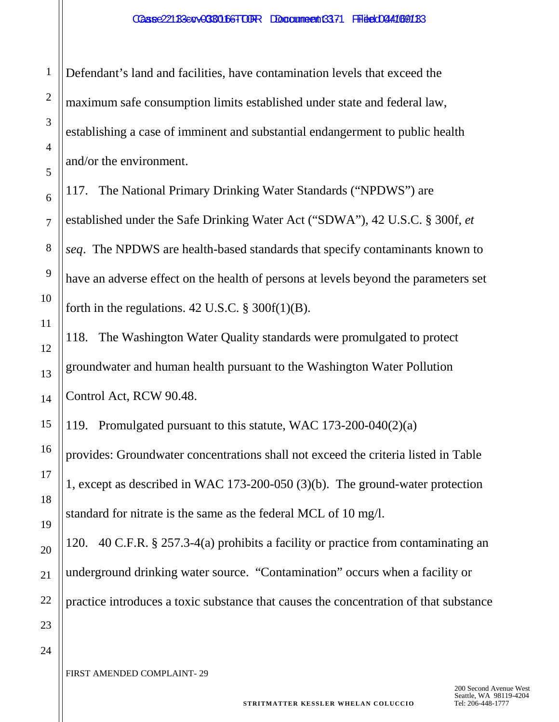Defendant's land and facilities, have contamination levels that exceed the maximum safe consumption limits established under state and federal law, establishing a case of imminent and substantial endangerment to public health and/or the environment.

117. The National Primary Drinking Water Standards ("NPDWS") are established under the Safe Drinking Water Act ("SDWA"), 42 U.S.C. § 300f, *et seq*. The NPDWS are health-based standards that specify contaminants known to have an adverse effect on the health of persons at levels beyond the parameters set forth in the regulations.  $42$  U.S.C.  $\S$  300f(1)(B).

118. The Washington Water Quality standards were promulgated to protect groundwater and human health pursuant to the Washington Water Pollution Control Act, RCW 90.48.

119. Promulgated pursuant to this statute, WAC 173-200-040(2)(a) provides: Groundwater concentrations shall not exceed the criteria listed in Table 1, except as described in WAC 173-200-050 (3)(b). The ground-water protection standard for nitrate is the same as the federal MCL of 10 mg/l.

120. 40 C.F.R. § 257.3-4(a) prohibits a facility or practice from contaminating an underground drinking water source. "Contamination" occurs when a facility or practice introduces a toxic substance that causes the concentration of that substance

24

1

2

3

4

5

6

7

8

9

10

11

12

13

14

15

16

17

18

19

20

21

22

23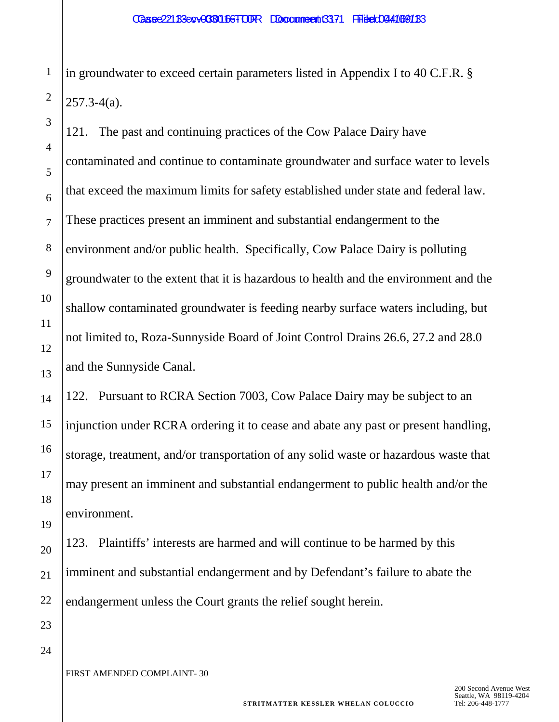in groundwater to exceed certain parameters listed in Appendix I to 40 C.F.R. §  $257.3 - 4(a)$ .

121. The past and continuing practices of the Cow Palace Dairy have contaminated and continue to contaminate groundwater and surface water to levels that exceed the maximum limits for safety established under state and federal law. These practices present an imminent and substantial endangerment to the environment and/or public health. Specifically, Cow Palace Dairy is polluting groundwater to the extent that it is hazardous to health and the environment and the shallow contaminated groundwater is feeding nearby surface waters including, but not limited to, Roza-Sunnyside Board of Joint Control Drains 26.6, 27.2 and 28.0 and the Sunnyside Canal.

122. Pursuant to RCRA Section 7003, Cow Palace Dairy may be subject to an injunction under RCRA ordering it to cease and abate any past or present handling, storage, treatment, and/or transportation of any solid waste or hazardous waste that may present an imminent and substantial endangerment to public health and/or the environment.

123. Plaintiffs' interests are harmed and will continue to be harmed by this imminent and substantial endangerment and by Defendant's failure to abate the endangerment unless the Court grants the relief sought herein.

24

1

2

3

4

5

6

7

8

9

10

11

12

13

14

15

16

17

18

19

20

21

22

23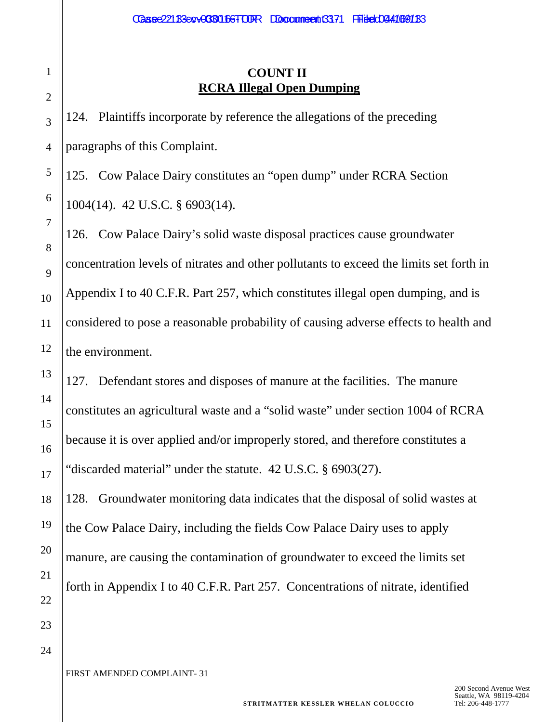# **COUNT II RCRA Illegal Open Dumping**

124. Plaintiffs incorporate by reference the allegations of the preceding paragraphs of this Complaint.

125. Cow Palace Dairy constitutes an "open dump" under RCRA Section 1004(14). 42 U.S.C. § 6903(14).

126. Cow Palace Dairy's solid waste disposal practices cause groundwater concentration levels of nitrates and other pollutants to exceed the limits set forth in Appendix I to 40 C.F.R. Part 257, which constitutes illegal open dumping, and is considered to pose a reasonable probability of causing adverse effects to health and the environment.

127. Defendant stores and disposes of manure at the facilities. The manure constitutes an agricultural waste and a "solid waste" under section 1004 of RCRA because it is over applied and/or improperly stored, and therefore constitutes a "discarded material" under the statute. 42 U.S.C. § 6903(27).

128. Groundwater monitoring data indicates that the disposal of solid wastes at the Cow Palace Dairy, including the fields Cow Palace Dairy uses to apply manure, are causing the contamination of groundwater to exceed the limits set forth in Appendix I to 40 C.F.R. Part 257. Concentrations of nitrate, identified

23 24

1

2

3

4

5

6

7

8

9

10

11

12

13

14

15

16

17

18

19

20

21

22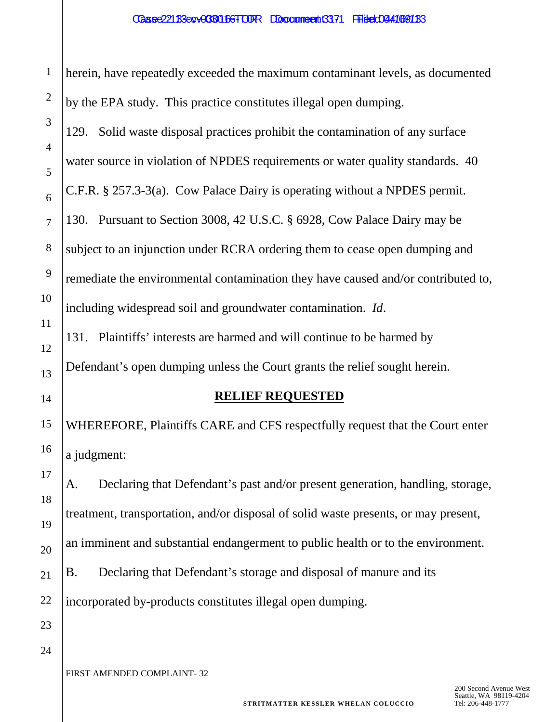1

herein, have repeatedly exceeded the maximum contaminant levels, as documented by the EPA study. This practice constitutes illegal open dumping.

129. Solid waste disposal practices prohibit the contamination of any surface water source in violation of NPDES requirements or water quality standards. 40 C.F.R. § 257.3-3(a). Cow Palace Dairy is operating without a NPDES permit. 130. Pursuant to Section 3008, 42 U.S.C. § 6928, Cow Palace Dairy may be subject to an injunction under RCRA ordering them to cease open dumping and remediate the environmental contamination they have caused and/or contributed to, including widespread soil and groundwater contamination. *Id*.

131. Plaintiffs' interests are harmed and will continue to be harmed by Defendant's open dumping unless the Court grants the relief sought herein.

#### **RELIEF REQUESTED**

WHEREFORE, Plaintiffs CARE and CFS respectfully request that the Court enter a judgment:

A. Declaring that Defendant's past and/or present generation, handling, storage, treatment, transportation, and/or disposal of solid waste presents, or may present, an imminent and substantial endangerment to public health or to the environment. B. Declaring that Defendant's storage and disposal of manure and its

incorporated by-products constitutes illegal open dumping.

24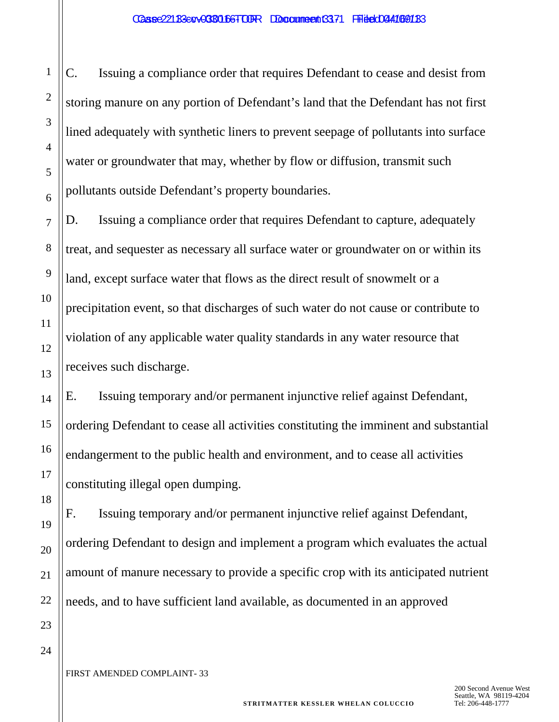C. Issuing a compliance order that requires Defendant to cease and desist from storing manure on any portion of Defendant's land that the Defendant has not first lined adequately with synthetic liners to prevent seepage of pollutants into surface water or groundwater that may, whether by flow or diffusion, transmit such pollutants outside Defendant's property boundaries.

D. Issuing a compliance order that requires Defendant to capture, adequately treat, and sequester as necessary all surface water or groundwater on or within its land, except surface water that flows as the direct result of snowmelt or a precipitation event, so that discharges of such water do not cause or contribute to violation of any applicable water quality standards in any water resource that receives such discharge.

E. Issuing temporary and/or permanent injunctive relief against Defendant, ordering Defendant to cease all activities constituting the imminent and substantial endangerment to the public health and environment, and to cease all activities constituting illegal open dumping.

F. Issuing temporary and/or permanent injunctive relief against Defendant, ordering Defendant to design and implement a program which evaluates the actual amount of manure necessary to provide a specific crop with its anticipated nutrient needs, and to have sufficient land available, as documented in an approved

24

1

2

3

4

5

6

7

8

9

10

11

12

13

14

15

16

17

18

19

20

21

22

23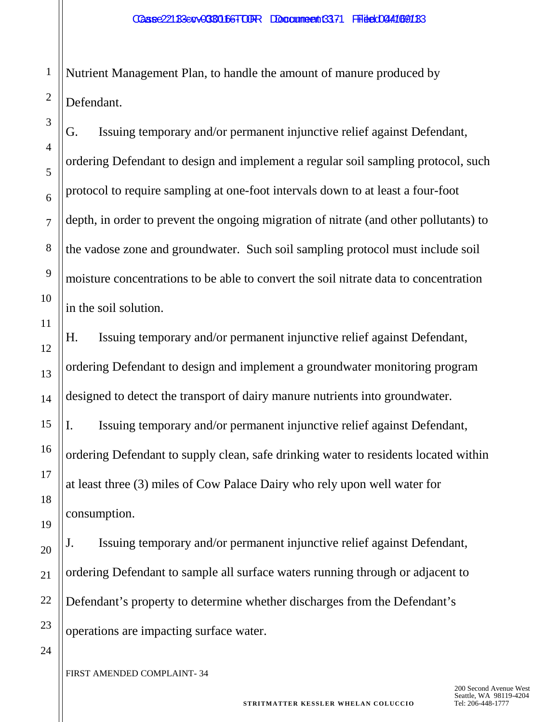Nutrient Management Plan, to handle the amount of manure produced by Defendant.

G. Issuing temporary and/or permanent injunctive relief against Defendant, ordering Defendant to design and implement a regular soil sampling protocol, such protocol to require sampling at one-foot intervals down to at least a four-foot depth, in order to prevent the ongoing migration of nitrate (and other pollutants) to the vadose zone and groundwater. Such soil sampling protocol must include soil moisture concentrations to be able to convert the soil nitrate data to concentration in the soil solution.

H. Issuing temporary and/or permanent injunctive relief against Defendant, ordering Defendant to design and implement a groundwater monitoring program designed to detect the transport of dairy manure nutrients into groundwater.

I. Issuing temporary and/or permanent injunctive relief against Defendant, ordering Defendant to supply clean, safe drinking water to residents located within at least three (3) miles of Cow Palace Dairy who rely upon well water for consumption.

J. Issuing temporary and/or permanent injunctive relief against Defendant, ordering Defendant to sample all surface waters running through or adjacent to Defendant's property to determine whether discharges from the Defendant's operations are impacting surface water.

FIRST AMENDED COMPLAINT- 34

1

2

3

4

5

6

7

8

9

10

11

12

13

14

15

16

17

18

19

20

21

22

23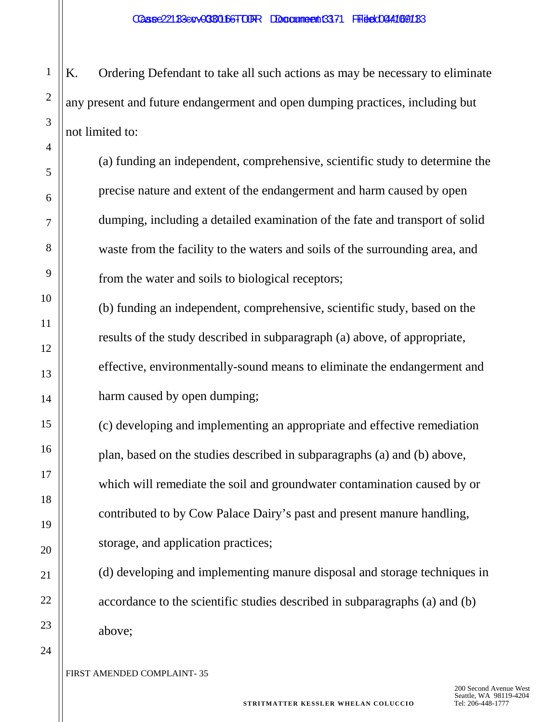K. Ordering Defendant to take all such actions as may be necessary to eliminate any present and future endangerment and open dumping practices, including but not limited to:

(a) funding an independent, comprehensive, scientific study to determine the precise nature and extent of the endangerment and harm caused by open dumping, including a detailed examination of the fate and transport of solid waste from the facility to the waters and soils of the surrounding area, and from the water and soils to biological receptors;

(b) funding an independent, comprehensive, scientific study, based on the results of the study described in subparagraph (a) above, of appropriate, effective, environmentally-sound means to eliminate the endangerment and harm caused by open dumping;

(c) developing and implementing an appropriate and effective remediation plan, based on the studies described in subparagraphs (a) and (b) above, which will remediate the soil and groundwater contamination caused by or contributed to by Cow Palace Dairy's past and present manure handling, storage, and application practices;

(d) developing and implementing manure disposal and storage techniques in accordance to the scientific studies described in subparagraphs (a) and (b) above;

1

2

3

4

5

6

7

8

9

10

11

12

13

14

15

16

17

18

19

20

21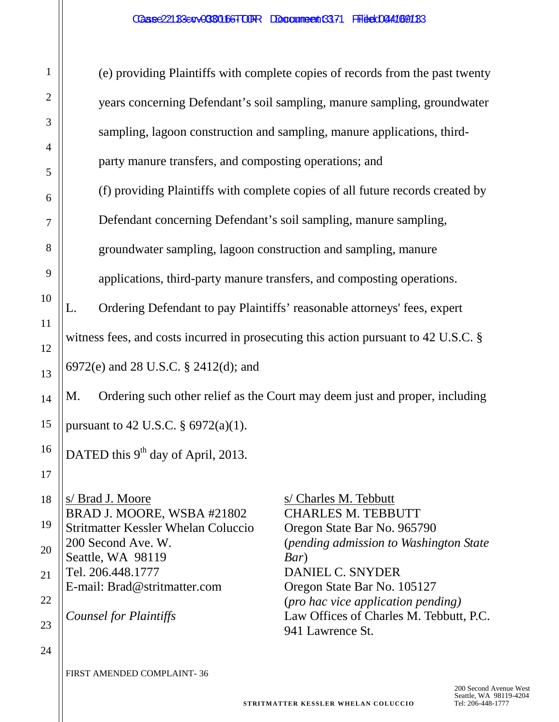| 1              | (e) providing Plaintiffs with complete copies of records from the past twenty                           |  |  |
|----------------|---------------------------------------------------------------------------------------------------------|--|--|
| $\overline{c}$ | years concerning Defendant's soil sampling, manure sampling, groundwater                                |  |  |
| 3              | sampling, lagoon construction and sampling, manure applications, third-                                 |  |  |
| $\overline{4}$ | party manure transfers, and composting operations; and                                                  |  |  |
| 5<br>6         | (f) providing Plaintiffs with complete copies of all future records created by                          |  |  |
| $\overline{7}$ | Defendant concerning Defendant's soil sampling, manure sampling,                                        |  |  |
| 8              | groundwater sampling, lagoon construction and sampling, manure                                          |  |  |
| 9              | applications, third-party manure transfers, and composting operations.                                  |  |  |
| 10             | Ordering Defendant to pay Plaintiffs' reasonable attorneys' fees, expert<br>L.                          |  |  |
| 11             | witness fees, and costs incurred in prosecuting this action pursuant to 42 U.S.C. §                     |  |  |
| 12             | 6972(e) and 28 U.S.C. § 2412(d); and                                                                    |  |  |
| 13<br>14       | Ordering such other relief as the Court may deem just and proper, including<br>M.                       |  |  |
| 15             | pursuant to 42 U.S.C. § 6972(a)(1).                                                                     |  |  |
| 16             | DATED this 9 <sup>th</sup> day of April, 2013.                                                          |  |  |
| 17             |                                                                                                         |  |  |
| 18             | s/ Brad J. Moore<br>s/ Charles M. Tebbutt<br>BRAD J. MOORE, WSBA #21802<br><b>CHARLES M. TEBBUTT</b>    |  |  |
| 19             | <b>Stritmatter Kessler Whelan Coluccio</b><br>Oregon State Bar No. 965790<br>200 Second Ave. W.         |  |  |
| 20             | (pending admission to Washington State)<br>Seattle, WA 98119<br>Bar)                                    |  |  |
| 21             | Tel. 206.448.1777<br>DANIEL C. SNYDER<br>E-mail: Brad@stritmatter.com<br>Oregon State Bar No. 105127    |  |  |
| 22<br>23       | (pro hac vice application pending)<br>Law Offices of Charles M. Tebbutt, P.C.<br>Counsel for Plaintiffs |  |  |
| 24             | 941 Lawrence St.                                                                                        |  |  |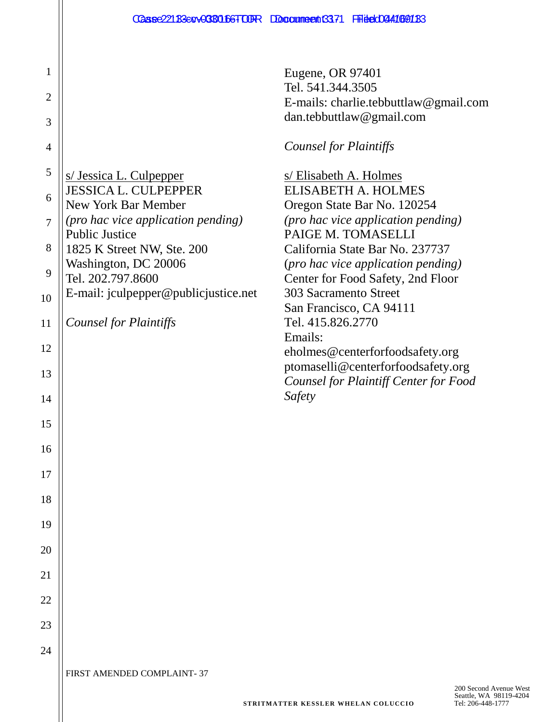Eugene, OR 97401 Tel. 541.344.3505 E-mails: charlie.tebbuttlaw@gmail.com dan.tebbuttlaw@gmail.com

# *Counsel for Plaintiffs*

| 5  | s/ Jessica L. Culpepper                             | s/Elisabeth A. Holmes                                 |
|----|-----------------------------------------------------|-------------------------------------------------------|
| 6  | <b>JESSICA L. CULPEPPER</b>                         | <b>ELISABETH A. HOLMES</b>                            |
|    | New York Bar Member                                 | Oregon State Bar No. 120254                           |
| 7  | (pro hac vice application pending)                  | (pro hac vice application pending)                    |
| 8  | <b>Public Justice</b><br>1825 K Street NW, Ste. 200 | PAIGE M. TOMASELLI<br>California State Bar No. 237737 |
|    | Washington, DC 20006                                | (pro hac vice application pending)                    |
| 9  | Tel. 202.797.8600                                   | Center for Food Safety, 2nd Floor                     |
| 10 | E-mail: jculpepper@publicjustice.net                | 303 Sacramento Street                                 |
|    |                                                     | San Francisco, CA 94111<br>Tel. 415.826.2770          |
| 11 | Counsel for Plaintiffs                              | Emails:                                               |
| 12 |                                                     | eholmes@centerforfoodsafety.org                       |
|    |                                                     | ptomaselli@centerforfoodsafety.org                    |
| 13 |                                                     | Counsel for Plaintiff Center for Food                 |
| 14 |                                                     | Safety                                                |
| 15 |                                                     |                                                       |
|    |                                                     |                                                       |
| 16 |                                                     |                                                       |
| 17 |                                                     |                                                       |
|    |                                                     |                                                       |
| 18 |                                                     |                                                       |
| 19 |                                                     |                                                       |
| 20 |                                                     |                                                       |
|    |                                                     |                                                       |
| 21 |                                                     |                                                       |
| 22 |                                                     |                                                       |
|    |                                                     |                                                       |
| 23 |                                                     |                                                       |

FIRST AMENDED COMPLAINT- 37

24

1

2

3